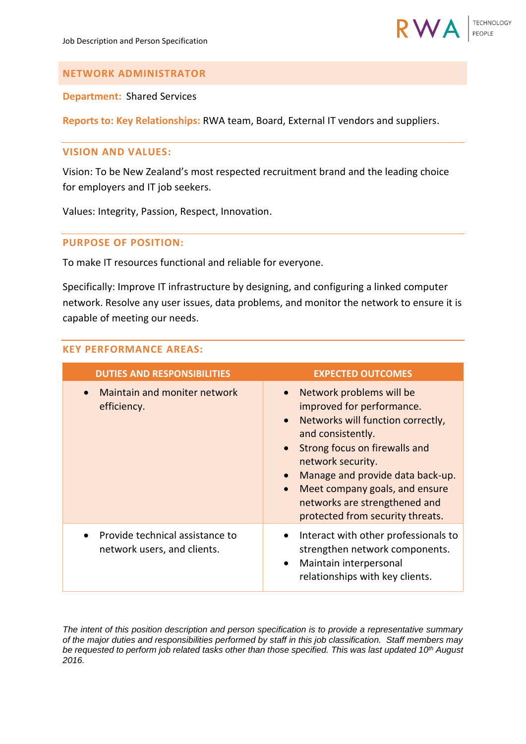

# **NETWORK ADMINISTRATOR**

**Department:** Shared Services

**Reports to: Key Relationships:** RWA team, Board, External IT vendors and suppliers.

#### **VISION AND VALUES:**

Vision: To be New Zealand's most respected recruitment brand and the leading choice for employers and IT job seekers.

Values: Integrity, Passion, Respect, Innovation.

# **PURPOSE OF POSITION:**

To make IT resources functional and reliable for everyone.

Specifically: Improve IT infrastructure by designing, and configuring a linked computer network. Resolve any user issues, data problems, and monitor the network to ensure it is capable of meeting our needs.

# **KEY PERFORMANCE AREAS:**

| <b>DUTIES AND RESPONSIBILITIES</b>                             | <b>EXPECTED OUTCOMES</b>                                                                                                                                                                                                                                                                                                                                             |
|----------------------------------------------------------------|----------------------------------------------------------------------------------------------------------------------------------------------------------------------------------------------------------------------------------------------------------------------------------------------------------------------------------------------------------------------|
| Maintain and moniter network<br>efficiency.                    | Network problems will be<br>$\bullet$<br>improved for performance.<br>Networks will function correctly,<br>$\bullet$<br>and consistently.<br>Strong focus on firewalls and<br>$\bullet$<br>network security.<br>Manage and provide data back-up.<br>Meet company goals, and ensure<br>$\bullet$<br>networks are strengthened and<br>protected from security threats. |
| Provide technical assistance to<br>network users, and clients. | Interact with other professionals to<br>strengthen network components.<br>Maintain interpersonal<br>$\bullet$<br>relationships with key clients.                                                                                                                                                                                                                     |

*The intent of this position description and person specification is to provide a representative summary of the major duties and responsibilities performed by staff in this job classification. Staff members may be requested to perform job related tasks other than those specified. This was last updated 10th August 2016.*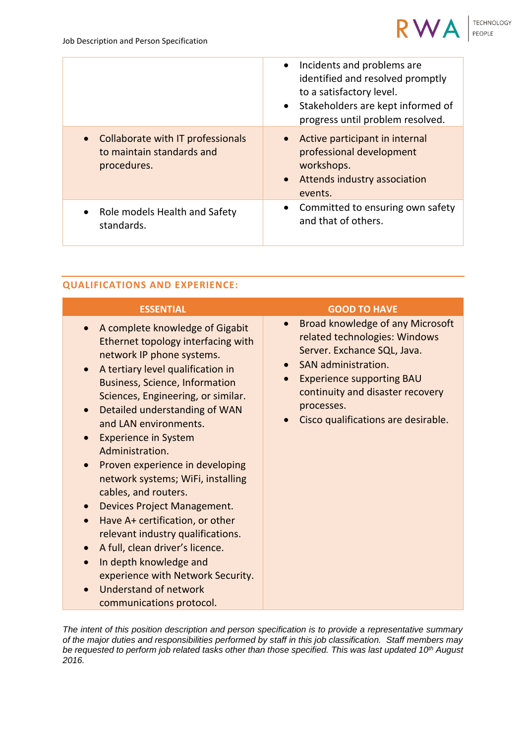

|                                                                               | Incidents and problems are<br>$\bullet$<br>identified and resolved promptly<br>to a satisfactory level.<br>Stakeholders are kept informed of<br>$\bullet$<br>progress until problem resolved. |
|-------------------------------------------------------------------------------|-----------------------------------------------------------------------------------------------------------------------------------------------------------------------------------------------|
| Collaborate with IT professionals<br>to maintain standards and<br>procedures. | Active participant in internal<br>$\bullet$<br>professional development<br>workshops.<br>Attends industry association<br>$\bullet$<br>events.                                                 |
| Role models Health and Safety<br>standards.                                   | Committed to ensuring own safety<br>$\bullet$<br>and that of others.                                                                                                                          |

#### **QUALIFICATIONS AND EXPERIENCE:**

| <b>ESSENTIAL</b>                                                                                                                                                                                                                                                                                                                                                                                                                                                                                                                                                                                                                                                                                               | <b>GOOD TO HAVE</b>                                                                                                                                                                                                                                               |
|----------------------------------------------------------------------------------------------------------------------------------------------------------------------------------------------------------------------------------------------------------------------------------------------------------------------------------------------------------------------------------------------------------------------------------------------------------------------------------------------------------------------------------------------------------------------------------------------------------------------------------------------------------------------------------------------------------------|-------------------------------------------------------------------------------------------------------------------------------------------------------------------------------------------------------------------------------------------------------------------|
| A complete knowledge of Gigabit<br>Ethernet topology interfacing with<br>network IP phone systems.<br>A tertiary level qualification in<br><b>Business, Science, Information</b><br>Sciences, Engineering, or similar.<br>Detailed understanding of WAN<br>and LAN environments.<br><b>Experience in System</b><br>Administration.<br>Proven experience in developing<br>network systems; WiFi, installing<br>cables, and routers.<br><b>Devices Project Management.</b><br>Have A+ certification, or other<br>relevant industry qualifications.<br>A full, clean driver's licence.<br>In depth knowledge and<br>experience with Network Security.<br><b>Understand of network</b><br>communications protocol. | Broad knowledge of any Microsoft<br>related technologies: Windows<br>Server. Exchance SQL, Java.<br>SAN administration.<br><b>Experience supporting BAU</b><br>$\bullet$<br>continuity and disaster recovery<br>processes.<br>Cisco qualifications are desirable. |

*The intent of this position description and person specification is to provide a representative summary of the major duties and responsibilities performed by staff in this job classification. Staff members may be requested to perform job related tasks other than those specified. This was last updated 10th August 2016.*